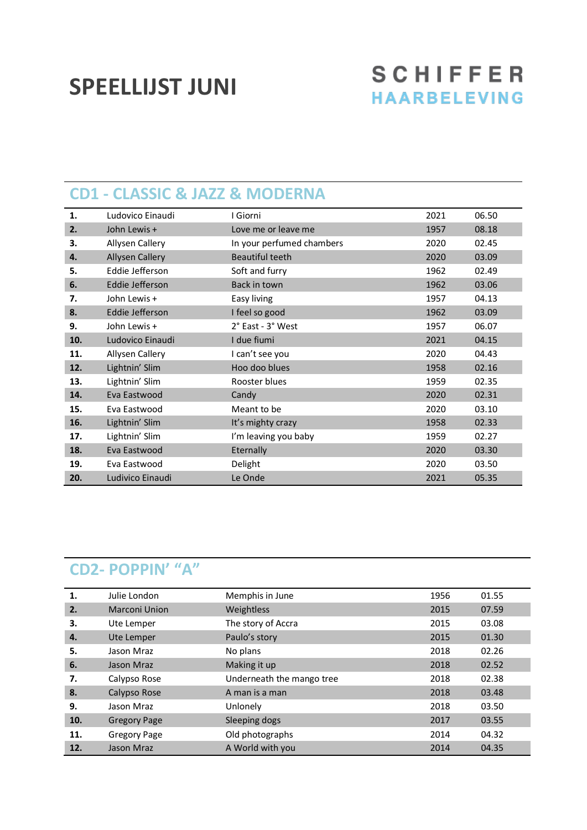# **SPEELLIJST JUNI**

## **SCHIFFER HAARBELEVING**

#### **CD1 - CLASSIC & JAZZ & MODERNA**

| 1.  | Ludovico Einaudi       | I Giorni                  | 2021 | 06.50 |
|-----|------------------------|---------------------------|------|-------|
| 2.  | John Lewis +           | Love me or leave me       | 1957 | 08.18 |
| 3.  | Allysen Callery        | In your perfumed chambers | 2020 | 02.45 |
| 4.  | <b>Allysen Callery</b> | <b>Beautiful teeth</b>    | 2020 | 03.09 |
| 5.  | Eddie Jefferson        | Soft and furry            | 1962 | 02.49 |
| 6.  | Eddie Jefferson        | Back in town              | 1962 | 03.06 |
| 7.  | John Lewis +           | Easy living               | 1957 | 04.13 |
| 8.  | Eddie Jefferson        | I feel so good            | 1962 | 03.09 |
| 9.  | John Lewis +           | 2° East - 3° West         | 1957 | 06.07 |
| 10. | Ludovico Einaudi       | I due fiumi               | 2021 | 04.15 |
| 11. | Allysen Callery        | I can't see you           | 2020 | 04.43 |
| 12. | Lightnin' Slim         | Hoo doo blues             | 1958 | 02.16 |
| 13. | Lightnin' Slim         | Rooster blues             | 1959 | 02.35 |
| 14. | Eva Eastwood           | Candy                     | 2020 | 02.31 |
| 15. | Eva Eastwood           | Meant to be               | 2020 | 03.10 |
| 16. | Lightnin' Slim         | It's mighty crazy         | 1958 | 02.33 |
| 17. | Lightnin' Slim         | I'm leaving you baby      | 1959 | 02.27 |
| 18. | Eva Eastwood           | Eternally                 | 2020 | 03.30 |
| 19. | Eva Eastwood           | Delight                   | 2020 | 03.50 |
| 20. | Ludivico Einaudi       | Le Onde                   | 2021 | 05.35 |

### **CD2- POPPIN' "A"**

| 1.  | Julie London         | Memphis in June           | 1956 | 01.55 |
|-----|----------------------|---------------------------|------|-------|
| 2.  | <b>Marconi Union</b> | Weightless                | 2015 | 07.59 |
| 3.  | Ute Lemper           | The story of Accra        | 2015 | 03.08 |
| 4.  | Ute Lemper           | Paulo's story             | 2015 | 01.30 |
| 5.  | Jason Mraz           | No plans                  | 2018 | 02.26 |
| 6.  | Jason Mraz           | Making it up              | 2018 | 02.52 |
| 7.  | Calypso Rose         | Underneath the mango tree | 2018 | 02.38 |
| 8.  | Calypso Rose         | A man is a man            | 2018 | 03.48 |
| 9.  | Jason Mraz           | Unlonely                  | 2018 | 03.50 |
| 10. | <b>Gregory Page</b>  | Sleeping dogs             | 2017 | 03.55 |
| 11. | <b>Gregory Page</b>  | Old photographs           | 2014 | 04.32 |
| 12. | Jason Mraz           | A World with you          | 2014 | 04.35 |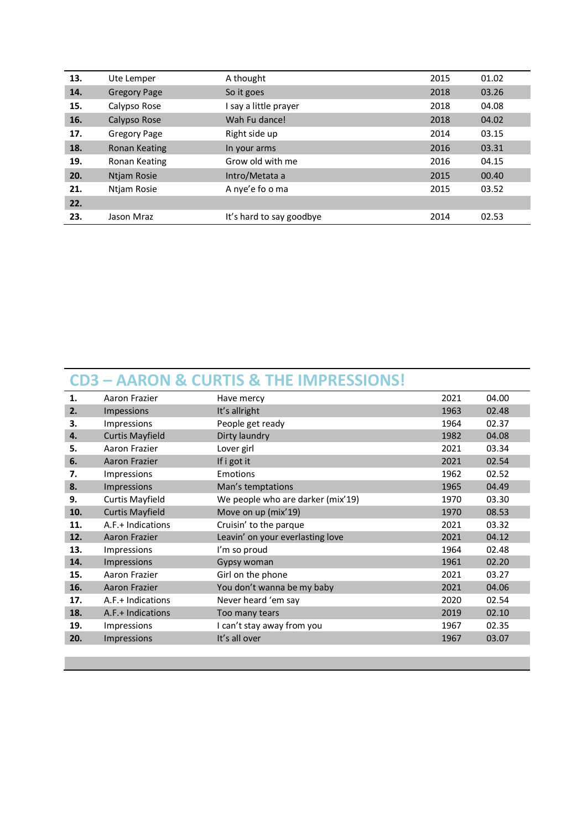| 13. | Ute Lemper          | A thought                | 2015 | 01.02 |
|-----|---------------------|--------------------------|------|-------|
| 14. | <b>Gregory Page</b> | So it goes               | 2018 | 03.26 |
| 15. | Calypso Rose        | say a little prayer      | 2018 | 04.08 |
| 16. | Calypso Rose        | Wah Fu dance!            | 2018 | 04.02 |
| 17. | Gregory Page        | Right side up            | 2014 | 03.15 |
| 18. | Ronan Keating       | In your arms             | 2016 | 03.31 |
| 19. | Ronan Keating       | Grow old with me         | 2016 | 04.15 |
| 20. | Ntjam Rosie         | Intro/Metata a           | 2015 | 00.40 |
| 21. | Ntjam Rosie         | A nye'e fo o ma          | 2015 | 03.52 |
| 22. |                     |                          |      |       |
| 23. | Jason Mraz          | It's hard to say goodbye | 2014 | 02.53 |

#### **CD3 – AARON & CURTIS & THE IMPRESSIONS!**

| 1.  | Aaron Frazier          | Have mercy                        | 2021 | 04.00 |
|-----|------------------------|-----------------------------------|------|-------|
| 2.  | Impessions             | It's allright                     | 1963 | 02.48 |
| 3.  | Impressions            | People get ready                  | 1964 | 02.37 |
| 4.  | <b>Curtis Mayfield</b> | Dirty laundry                     | 1982 | 04.08 |
| 5.  | Aaron Frazier          | Lover girl                        | 2021 | 03.34 |
| 6.  | Aaron Frazier          | If i got it                       | 2021 | 02.54 |
| 7.  | Impressions            | <b>Emotions</b>                   | 1962 | 02.52 |
| 8.  | Impressions            | Man's temptations                 | 1965 | 04.49 |
| 9.  | <b>Curtis Mayfield</b> | We people who are darker (mix'19) | 1970 | 03.30 |
| 10. | <b>Curtis Mayfield</b> | Move on up (mix'19)               | 1970 | 08.53 |
| 11. | A.F.+ Indications      | Cruisin' to the parque            | 2021 | 03.32 |
| 12. | Aaron Frazier          | Leavin' on your everlasting love  | 2021 | 04.12 |
| 13. | Impressions            | I'm so proud                      | 1964 | 02.48 |
| 14. | Impressions            | Gypsy woman                       | 1961 | 02.20 |
| 15. | Aaron Frazier          | Girl on the phone                 | 2021 | 03.27 |
| 16. | Aaron Frazier          | You don't wanna be my baby        | 2021 | 04.06 |
| 17. | A.F.+ Indications      | Never heard 'em say               | 2020 | 02.54 |
| 18. | A.F.+ Indications      | Too many tears                    | 2019 | 02.10 |
| 19. | Impressions            | I can't stay away from you        | 1967 | 02.35 |
| 20. | Impressions            | It's all over                     | 1967 | 03.07 |
|     |                        |                                   |      |       |